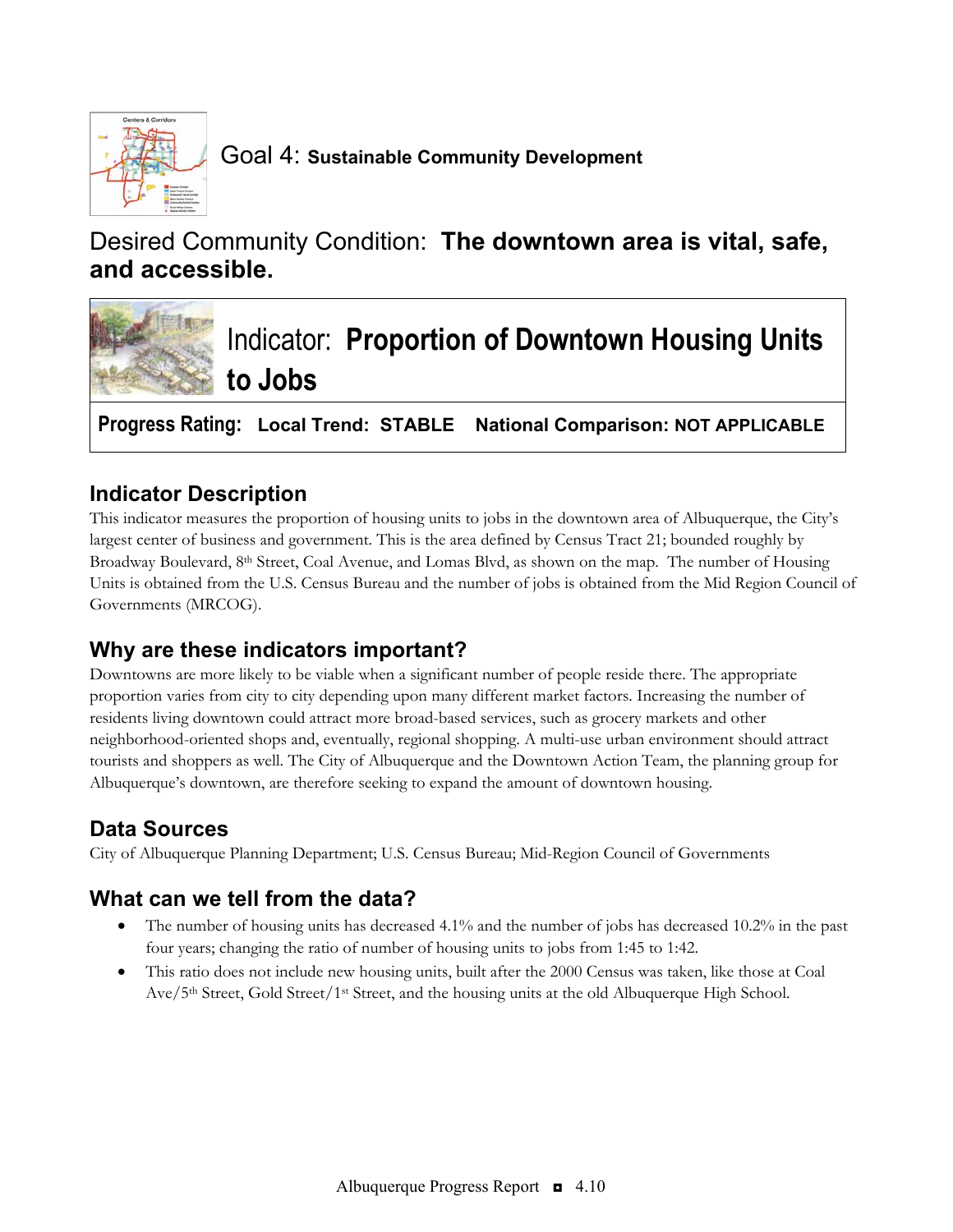

Goal 4: **Sustainable Community Development**

# Desired Community Condition: **The downtown area is vital, safe, and accessible.**



**Progress Rating: Local Trend: STABLE National Comparison: NOT APPLICABLE**

### **Indicator Description**

This indicator measures the proportion of housing units to jobs in the downtown area of Albuquerque, the City's largest center of business and government. This is the area defined by Census Tract 21; bounded roughly by Broadway Boulevard, 8<sup>th</sup> Street, Coal Avenue, and Lomas Blvd, as shown on the map. The number of Housing Units is obtained from the U.S. Census Bureau and the number of jobs is obtained from the Mid Region Council of Governments (MRCOG).

### **Why are these indicators important?**

Downtowns are more likely to be viable when a significant number of people reside there. The appropriate proportion varies from city to city depending upon many different market factors. Increasing the number of residents living downtown could attract more broad-based services, such as grocery markets and other neighborhood-oriented shops and, eventually, regional shopping. A multi-use urban environment should attract tourists and shoppers as well. The City of Albuquerque and the Downtown Action Team, the planning group for Albuquerque's downtown, are therefore seeking to expand the amount of downtown housing.

## **Data Sources**

City of Albuquerque Planning Department; U.S. Census Bureau; Mid-Region Council of Governments

### **What can we tell from the data?**

- The number of housing units has decreased 4.1% and the number of jobs has decreased 10.2% in the past four years; changing the ratio of number of housing units to jobs from 1:45 to 1:42.
- This ratio does not include new housing units, built after the 2000 Census was taken, like those at Coal Ave/5th Street, Gold Street/1st Street, and the housing units at the old Albuquerque High School.